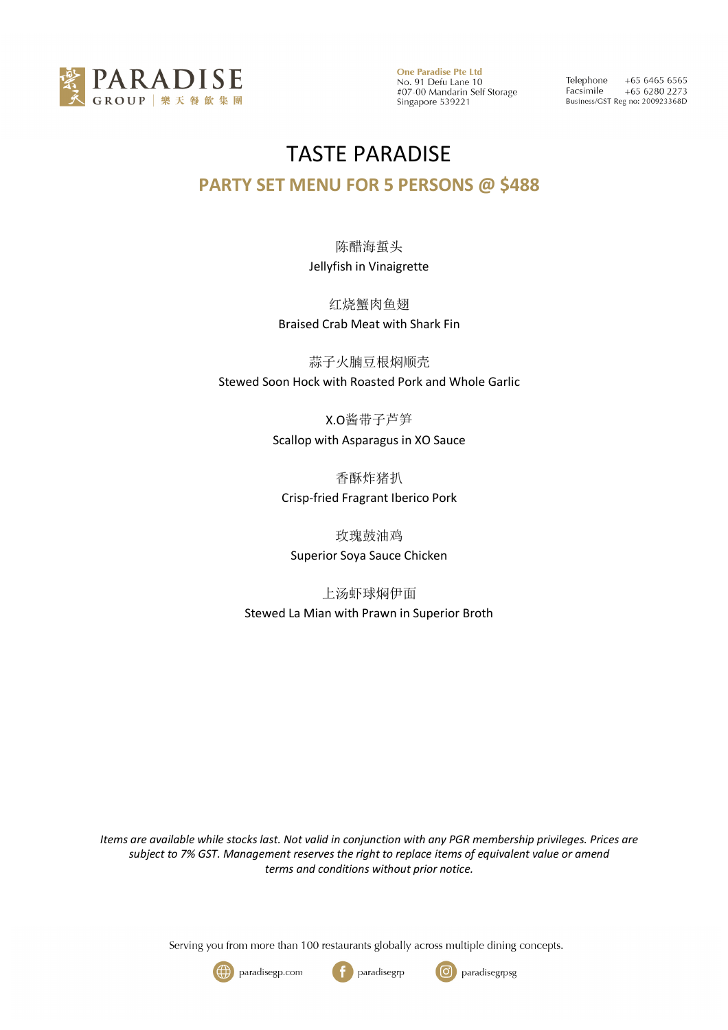

Telephone  $+6564656565$ Facsimile  $+6562802273$ Business/GST Reg no: 200923368D

# TASTE PARADISE

#### **PARTY SET MENU FOR 5 PERSONS @ \$488**

陈醋海蜇头 Jellyfish in Vinaigrette

红烧蟹肉鱼翅 Braised Crab Meat with Shark Fin

蒜子火腩豆根焖顺壳 Stewed Soon Hock with Roasted Pork and Whole Garlic

> X.O酱带子芦笋 Scallop with Asparagus in XO Sauce

香酥炸猪扒 Crisp-fried Fragrant Iberico Pork

玫瑰鼓油鸡 Superior Soya Sauce Chicken

上汤虾球焖伊面 Stewed La Mian with Prawn in Superior Broth

*Items are available while stocks last. Not valid in conjunction with any PGR membership privileges. Prices are subject to 7% GST. Management reserves the right to replace items of equivalent value or amend terms and conditions without prior notice.*

Serving you from more than 100 restaurants globally across multiple dining concepts.





ြ paradisegrpsg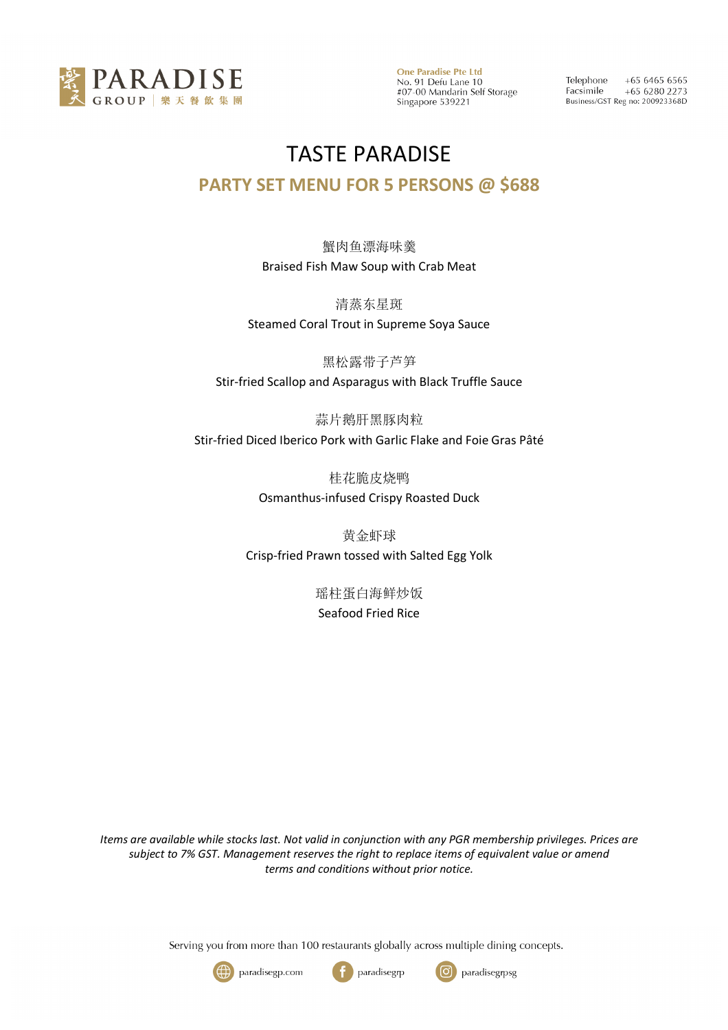

Telephone  $+6564656565$ Facsimile  $+6562802273$ Business/GST Reg no: 200923368D

### TASTE PARADISE

#### **PARTY SET MENU FOR 5 PERSONS @ \$688**

蟹肉鱼漂海味羹 Braised Fish Maw Soup with Crab Meat

清蒸东星斑 Steamed Coral Trout in Supreme Soya Sauce

黑松露带子芦笋 Stir-fried Scallop and Asparagus with Black Truffle Sauce

蒜片鹅肝黑豚肉粒 Stir-fried Diced Iberico Pork with Garlic Flake and Foie Gras Pâté

> 桂花脆皮烧鸭 Osmanthus-infused Crispy Roasted Duck

黄金虾球 Crisp-fried Prawn tossed with Salted Egg Yolk

> 瑶柱蛋白海鲜炒饭 Seafood Fried Rice

*Items are available while stocks last. Not valid in conjunction with any PGR membership privileges. Prices are subject to 7% GST. Management reserves the right to replace items of equivalent value or amend terms and conditions without prior notice.*

Serving you from more than 100 restaurants globally across multiple dining concepts.





paradisegrp ြ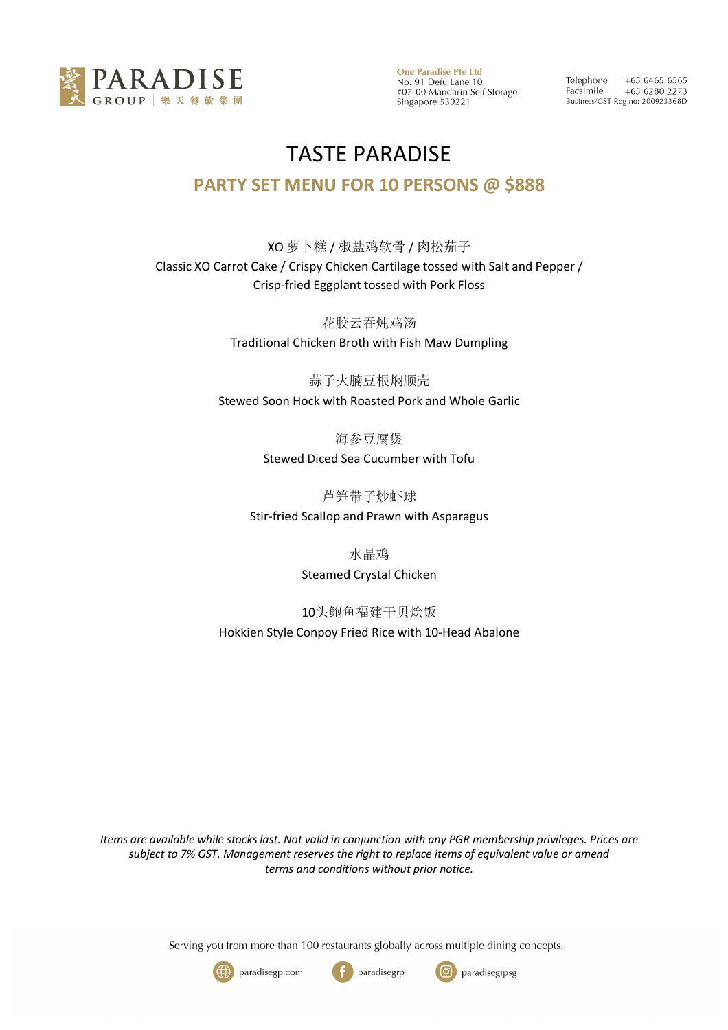

Telephone  $+6564656565$ Facsimile +65 6280 2273 Business/GST Reg no: 200923368D

## TASTE PARADISE **PARTY SET MENU FOR 10 PERSONS @ \$888**

XO 萝卜糕 / 椒盐鸡软骨 / 肉松茄子 Classic XO Carrot Cake / Crispy Chicken Cartilage tossed with Salt and Pepper / Crisp-fried Eggplant tossed with Pork Floss

> 花胶云吞炖鸡汤 Traditional Chicken Broth with Fish Maw Dumpling

蒜子火腩豆根焖顺壳 Stewed Soon Hock with Roasted Pork and Whole Garlic

> 海参豆腐煲 Stewed Diced Sea Cucumber with Tofu

芦笋带子炒虾球 Stir-fried Scallop and Prawn with Asparagus

> 水晶鸡 Steamed Crystal Chicken

10头鲍鱼福建干贝烩饭 Hokkien Style Conpoy Fried Rice with 10-Head Abalone

*Items are available while stocks last. Not valid in conjunction with any PGR membership privileges. Prices are subject to 7% GST. Management reserves the right to replace items of equivalent value or amend terms and conditions without prior notice.*

Serving you from more than 100 restaurants globally across multiple dining concepts.





paradisegrp